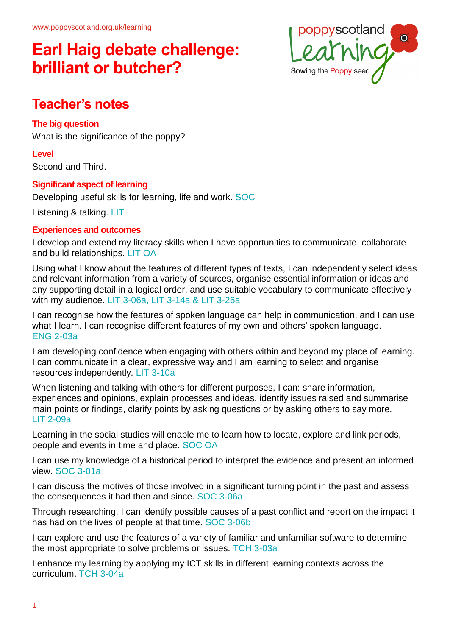

### **Teacher's notes**

### **The big question**

What is the significance of the poppy?

**Level**

Second and Third.

### **Significant aspect of learning**

Developing useful skills for learning, life and work. SOC

Listening & talking. LIT

### **Experiences and outcomes**

I develop and extend my literacy skills when I have opportunities to communicate, collaborate and build relationships. LIT OA

Using what I know about the features of different types of texts, I can independently select ideas and relevant information from a variety of sources, organise essential information or ideas and any supporting detail in a logical order, and use suitable vocabulary to communicate effectively with my audience. LIT 3-06a, LIT 3-14a & LIT 3-26a

I can recognise how the features of spoken language can help in communication, and I can use what I learn. I can recognise different features of my own and others' spoken language. ENG 2-03a

I am developing confidence when engaging with others within and beyond my place of learning. I can communicate in a clear, expressive way and I am learning to select and organise resources independently. LIT 3-10a

When listening and talking with others for different purposes, I can: share information, experiences and opinions, explain processes and ideas, identify issues raised and summarise main points or findings, clarify points by asking questions or by asking others to say more. LIT 2-09a

Learning in the social studies will enable me to learn how to locate, explore and link periods, people and events in time and place. SOC OA

I can use my knowledge of a historical period to interpret the evidence and present an informed view. SOC 3-01a

I can discuss the motives of those involved in a significant turning point in the past and assess the consequences it had then and since. SOC 3-06a

Through researching, I can identify possible causes of a past conflict and report on the impact it has had on the lives of people at that time. SOC 3-06b

I can explore and use the features of a variety of familiar and unfamiliar software to determine the most appropriate to solve problems or issues. TCH 3-03a

I enhance my learning by applying my ICT skills in different learning contexts across the curriculum. TCH 3-04a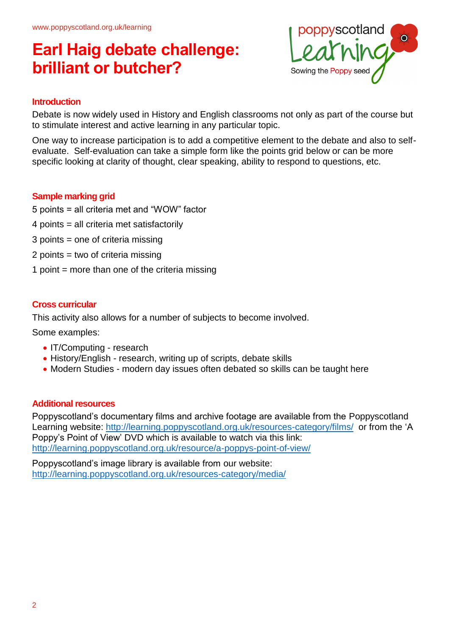

#### **Introduction**

Debate is now widely used in History and English classrooms not only as part of the course but to stimulate interest and active learning in any particular topic.

One way to increase participation is to add a competitive element to the debate and also to selfevaluate. Self-evaluation can take a simple form like the points grid below or can be more specific looking at clarity of thought, clear speaking, ability to respond to questions, etc.

#### **Sample marking grid**

- 5 points = all criteria met and "WOW" factor
- 4 points = all criteria met satisfactorily
- 3 points = one of criteria missing
- 2 points = two of criteria missing
- 1 point  $=$  more than one of the criteria missing

#### **Cross curricular**

This activity also allows for a number of subjects to become involved.

Some examples:

- IT/Computing research
- History/English research, writing up of scripts, debate skills
- Modern Studies modern day issues often debated so skills can be taught here

#### **Additional resources**

Poppyscotland's documentary films and archive footage are available from the Poppyscotland Learning website:<http://learning.poppyscotland.org.uk/resources-category/films/> or from the 'A Poppy's Point of View' DVD which is available to watch via this link: <http://learning.poppyscotland.org.uk/resource/a-poppys-point-of-view/>

Poppyscotland's image library is available from our website: <http://learning.poppyscotland.org.uk/resources-category/media/>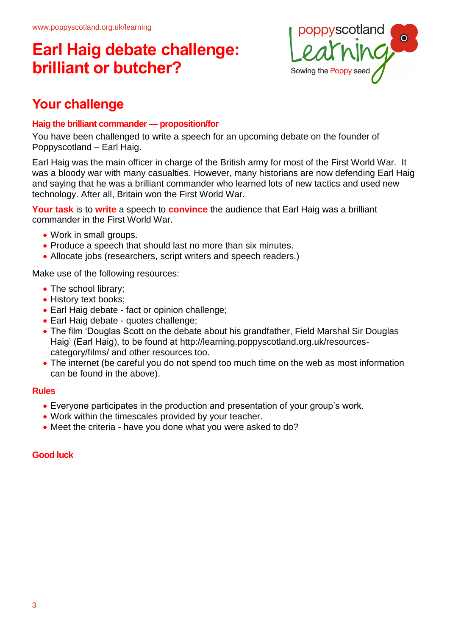

### **Your challenge**

### **Haig the brilliant commander — proposition/for**

You have been challenged to write a speech for an upcoming debate on the founder of Poppyscotland – Earl Haig.

Earl Haig was the main officer in charge of the British army for most of the First World War. It was a bloody war with many casualties. However, many historians are now defending Earl Haig and saying that he was a brilliant commander who learned lots of new tactics and used new technology. After all, Britain won the First World War.

**Your task** is to **write** a speech to **convince** the audience that Earl Haig was a brilliant commander in the First World War.

- Work in small groups.
- Produce a speech that should last no more than six minutes.
- Allocate jobs (researchers, script writers and speech readers.)

Make use of the following resources:

- The school library;
- History text books;
- Earl Haig debate fact or opinion challenge;
- Earl Haig debate quotes challenge;
- The film 'Douglas Scott on the debate about his grandfather, Field Marshal Sir Douglas Haig' (Earl Haig), to be found at [http://learning.poppyscotland.org.uk/resources](http://learning.poppyscotland.org.uk/resources-category/films/)[category/films/](http://learning.poppyscotland.org.uk/resources-category/films/) and other resources too.
- The internet (be careful you do not spend too much time on the web as most information can be found in the above).

#### **Rules**

- Everyone participates in the production and presentation of your group's work.
- Work within the timescales provided by your teacher.
- Meet the criteria have you done what you were asked to do?

#### **Good luck**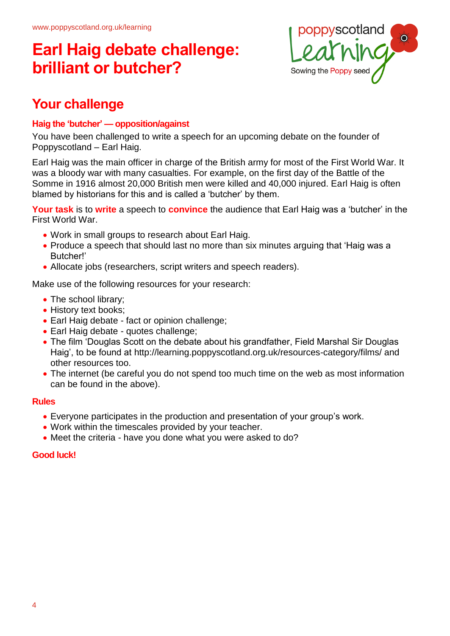

### **Your challenge**

### **Haig the 'butcher' — opposition/against**

You have been challenged to write a speech for an upcoming debate on the founder of Poppyscotland – Earl Haig.

Earl Haig was the main officer in charge of the British army for most of the First World War. It was a bloody war with many casualties. For example, on the first day of the Battle of the Somme in 1916 almost 20,000 British men were killed and 40,000 injured. Earl Haig is often blamed by historians for this and is called a 'butcher' by them.

**Your task** is to **write** a speech to **convince** the audience that Earl Haig was a 'butcher' in the First World War.

- Work in small groups to research about Earl Haig.
- Produce a speech that should last no more than six minutes arguing that 'Haig was a Butcher!'
- Allocate jobs (researchers, script writers and speech readers).

Make use of the following resources for your research:

- The school library;
- History text books;
- Earl Haig debate fact or opinion challenge;
- Earl Haig debate quotes challenge;
- The film 'Douglas Scott on the debate about his grandfather, Field Marshal Sir Douglas Haig', to be found at<http://learning.poppyscotland.org.uk/resources-category/films/> and other resources too.
- The internet (be careful you do not spend too much time on the web as most information can be found in the above).

#### **Rules**

- Everyone participates in the production and presentation of your group's work.
- Work within the timescales provided by your teacher.
- Meet the criteria have you done what you were asked to do?

#### **Good luck!**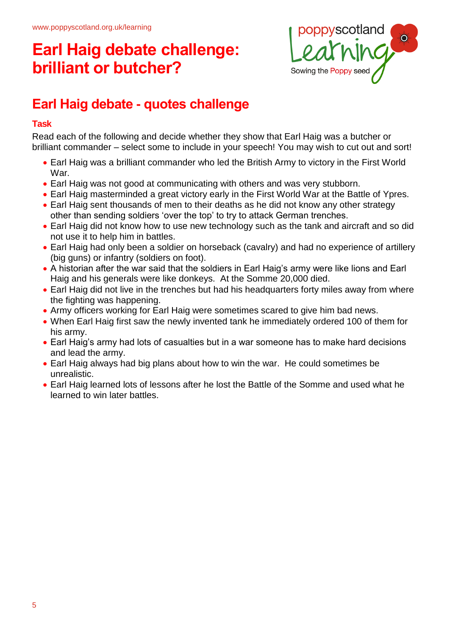

### **Earl Haig debate - quotes challenge**

### **Task**

Read each of the following and decide whether they show that Earl Haig was a butcher or brilliant commander – select some to include in your speech! You may wish to cut out and sort!

- Earl Haig was a brilliant commander who led the British Army to victory in the First World War.
- Earl Haig was not good at communicating with others and was very stubborn.
- Earl Haig masterminded a great victory early in the First World War at the Battle of Ypres.
- Earl Haig sent thousands of men to their deaths as he did not know any other strategy other than sending soldiers 'over the top' to try to attack German trenches.
- Earl Haig did not know how to use new technology such as the tank and aircraft and so did not use it to help him in battles.
- Earl Haig had only been a soldier on horseback (cavalry) and had no experience of artillery (big guns) or infantry (soldiers on foot).
- A historian after the war said that the soldiers in Earl Haig's army were like lions and Earl Haig and his generals were like donkeys. At the Somme 20,000 died.
- Earl Haig did not live in the trenches but had his headquarters forty miles away from where the fighting was happening.
- Army officers working for Earl Haig were sometimes scared to give him bad news.
- When Earl Haig first saw the newly invented tank he immediately ordered 100 of them for his army.
- Earl Haig's army had lots of casualties but in a war someone has to make hard decisions and lead the army.
- Earl Haig always had big plans about how to win the war. He could sometimes be unrealistic.
- Earl Haig learned lots of lessons after he lost the Battle of the Somme and used what he learned to win later battles.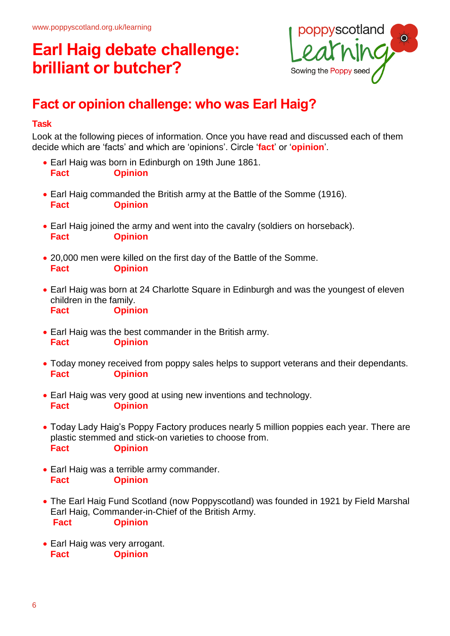

### **Fact or opinion challenge: who was Earl Haig?**

### **Task**

Look at the following pieces of information. Once you have read and discussed each of them decide which are 'facts' and which are 'opinions'. Circle '**fact**' or '**opinion**'.

- Earl Haig was born in Edinburgh on 19th June 1861. **Fact Opinion**
- Earl Haig commanded the British army at the Battle of the Somme (1916). **Fact Opinion**
- Earl Haig joined the army and went into the cavalry (soldiers on horseback). **Fact Opinion**
- 20,000 men were killed on the first day of the Battle of the Somme. **Fact Opinion**
- Earl Haig was born at 24 Charlotte Square in Edinburgh and was the youngest of eleven children in the family. **Fact Opinion**
- Earl Haig was the best commander in the British army. **Fact Opinion**
- Today money received from poppy sales helps to support veterans and their dependants. **Fact Opinion**
- Earl Haig was very good at using new inventions and technology. **Fact Opinion**
- Today Lady Haig's Poppy Factory produces nearly 5 million poppies each year. There are plastic stemmed and stick-on varieties to choose from. **Fact Opinion**
- Earl Haig was a terrible army commander. **Fact Opinion**
- The Earl Haig Fund Scotland (now Poppyscotland) was founded in 1921 by Field Marshal Earl Haig, Commander-in-Chief of the British Army. **Fact Opinion**
- Earl Haig was very arrogant. **Fact Opinion**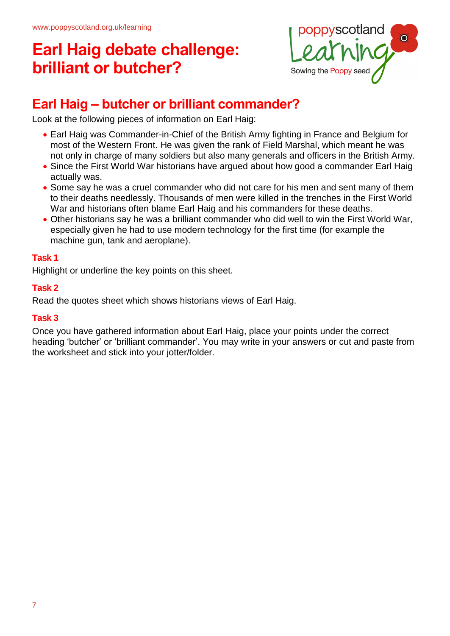

### **Earl Haig – butcher or brilliant commander?**

Look at the following pieces of information on Earl Haig:

- Earl Haig was Commander-in-Chief of the British Army fighting in France and Belgium for most of the Western Front. He was given the rank of Field Marshal, which meant he was not only in charge of many soldiers but also many generals and officers in the British Army.
- Since the First World War historians have argued about how good a commander Earl Haig actually was.
- Some say he was a cruel commander who did not care for his men and sent many of them to their deaths needlessly. Thousands of men were killed in the trenches in the First World War and historians often blame Earl Haig and his commanders for these deaths.
- Other historians say he was a brilliant commander who did well to win the First World War, especially given he had to use modern technology for the first time (for example the machine gun, tank and aeroplane).

### **Task 1**

Highlight or underline the key points on this sheet.

### **Task 2**

Read the quotes sheet which shows historians views of Earl Haig.

#### **Task 3**

Once you have gathered information about Earl Haig, place your points under the correct heading 'butcher' or 'brilliant commander'. You may write in your answers or cut and paste from the worksheet and stick into your jotter/folder.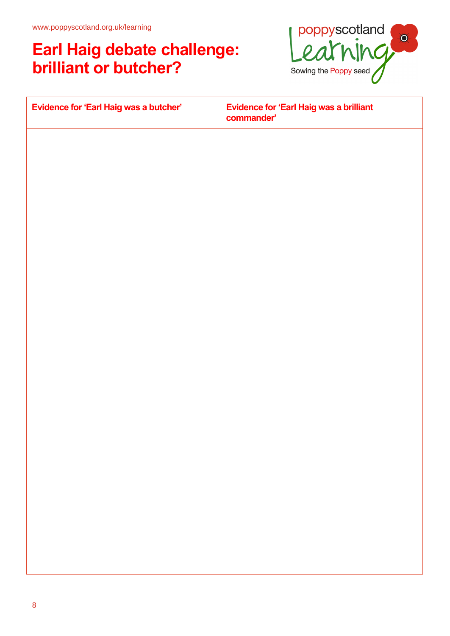

| Evidence for 'Earl Haig was a butcher' | Evidence for 'Earl Haig was a brilliant<br>commander' |
|----------------------------------------|-------------------------------------------------------|
|                                        |                                                       |
|                                        |                                                       |
|                                        |                                                       |
|                                        |                                                       |
|                                        |                                                       |
|                                        |                                                       |
|                                        |                                                       |
|                                        |                                                       |
|                                        |                                                       |
|                                        |                                                       |
|                                        |                                                       |
|                                        |                                                       |
|                                        |                                                       |
|                                        |                                                       |
|                                        |                                                       |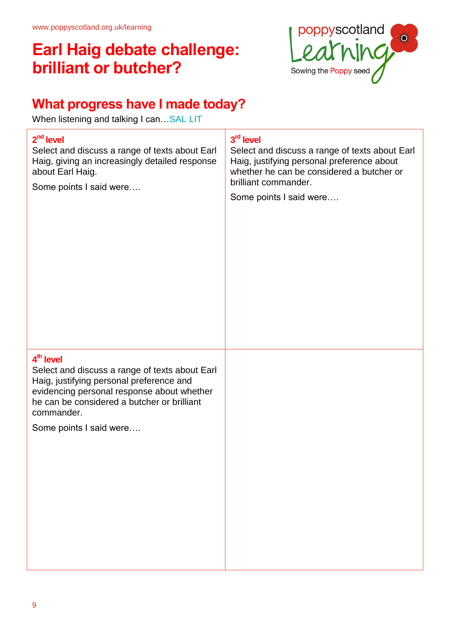

### **What progress have I made today?**

When listening and talking I can... SAL LIT

# **2 nd level** Select and discuss a range of texts about Earl Haig, giving an increasingly detailed response about Earl Haig. Some points I said were…. **3 rd level** Select and discuss a range of texts about Earl Haig, justifying personal preference about whether he can be considered a butcher or brilliant commander. Some points I said were…. **4 th level** Select and discuss a range of texts about Earl Haig, justifying personal preference and evidencing personal response about whether he can be considered a butcher or brilliant commander. Some points I said were….